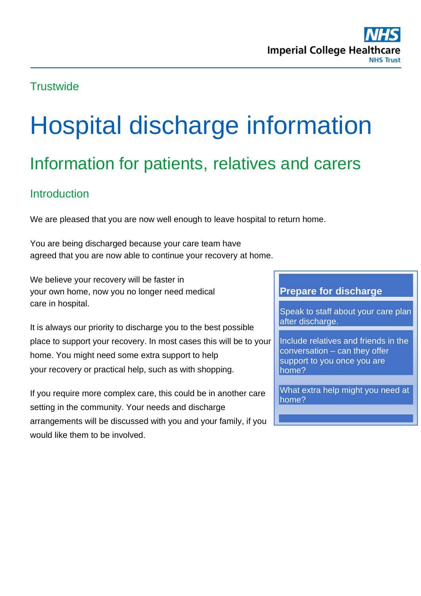# **Trustwide**

# Hospital discharge information Information for patients, relatives and carers

# **Introduction**

We are pleased that you are now well enough to leave hospital to return home.

You are being discharged because your care team have agreed that you are now able to continue your recovery at home.

We believe your recovery will be faster in your own home, now you no longer need medical care in hospital.

It is always our priority to discharge you to the best possible place to support your recovery. In most cases this will be to your home. You might need some extra support to help your recovery or practical help, such as with shopping.

If you require more complex care, this could be in another care setting in the community. Your needs and discharge arrangements will be discussed with you and your family, if you would like them to be involved.

#### **Prepare for discharge**

Speak to staff about your care plan after discharge.

Include relatives and friends in the conversation – can they offer support to you once you are home?

What extra help might you need at home?